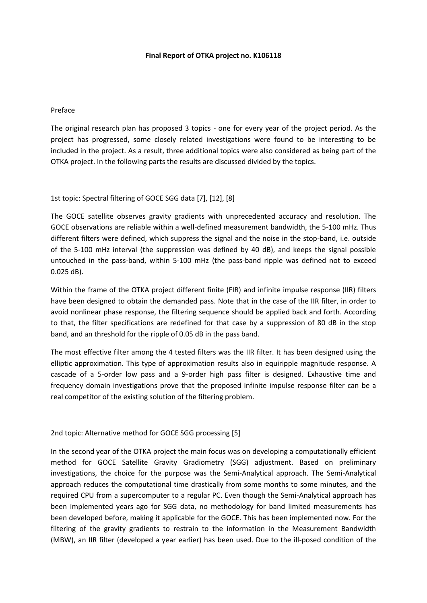### **Final Report of OTKA project no. K106118**

#### Preface

The original research plan has proposed 3 topics - one for every year of the project period. As the project has progressed, some closely related investigations were found to be interesting to be included in the project. As a result, three additional topics were also considered as being part of the OTKA project. In the following parts the results are discussed divided by the topics.

### 1st topic: Spectral filtering of GOCE SGG data [7], [12], [8]

The GOCE satellite observes gravity gradients with unprecedented accuracy and resolution. The GOCE observations are reliable within a well-defined measurement bandwidth, the 5-100 mHz. Thus different filters were defined, which suppress the signal and the noise in the stop-band, i.e. outside of the 5-100 mHz interval (the suppression was defined by 40 dB), and keeps the signal possible untouched in the pass-band, within 5-100 mHz (the pass-band ripple was defined not to exceed 0.025 dB).

Within the frame of the OTKA project different finite (FIR) and infinite impulse response (IIR) filters have been designed to obtain the demanded pass. Note that in the case of the IIR filter, in order to avoid nonlinear phase response, the filtering sequence should be applied back and forth. According to that, the filter specifications are redefined for that case by a suppression of 80 dB in the stop band, and an threshold for the ripple of 0.05 dB in the pass band.

The most effective filter among the 4 tested filters was the IIR filter. It has been designed using the elliptic approximation. This type of approximation results also in equiripple magnitude response. A cascade of a 5-order low pass and a 9-order high pass filter is designed. Exhaustive time and frequency domain investigations prove that the proposed infinite impulse response filter can be a real competitor of the existing solution of the filtering problem.

### 2nd topic: Alternative method for GOCE SGG processing [5]

In the second year of the OTKA project the main focus was on developing a computationally efficient method for GOCE Satellite Gravity Gradiometry (SGG) adjustment. Based on preliminary investigations, the choice for the purpose was the Semi-Analytical approach. The Semi-Analytical approach reduces the computational time drastically from some months to some minutes, and the required CPU from a supercomputer to a regular PC. Even though the Semi-Analytical approach has been implemented years ago for SGG data, no methodology for band limited measurements has been developed before, making it applicable for the GOCE. This has been implemented now. For the filtering of the gravity gradients to restrain to the information in the Measurement Bandwidth (MBW), an IIR filter (developed a year earlier) has been used. Due to the ill-posed condition of the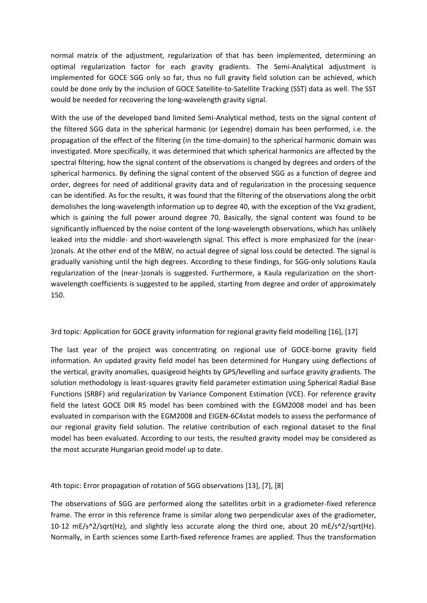normal matrix of the adjustment, regularization of that has been implemented, determining an optimal regularization factor for each gravity gradients. The Semi-Analytical adjustment is implemented for GOCE SGG only so far, thus no full gravity field solution can be achieved, which could be done only by the inclusion of GOCE Satellite-to-Satellite Tracking (SST) data as well. The SST would be needed for recovering the long-wavelength gravity signal.

With the use of the developed band limited Semi-Analytical method, tests on the signal content of the filtered SGG data in the spherical harmonic (or Legendre) domain has been performed, i.e. the propagation of the effect of the filtering (in the time-domain) to the spherical harmonic domain was investigated. More specifically, it was determined that which spherical harmonics are affected by the spectral filtering, how the signal content of the observations is changed by degrees and orders of the spherical harmonics. By defining the signal content of the observed SGG as a function of degree and order, degrees for need of additional gravity data and of regularization in the processing sequence can be identified. As for the results, it was found that the filtering of the observations along the orbit demolishes the long-wavelength information up to degree 40, with the exception of the Vxz gradient, which is gaining the full power around degree 70. Basically, the signal content was found to be significantly influenced by the noise content of the long-wavelength observations, which has unlikely leaked into the middle- and short-wavelength signal. This effect is more emphasized for the (near- )zonals. At the other end of the MBW, no actual degree of signal loss could be detected. The signal is gradually vanishing until the high degrees. According to these findings, for SGG-only solutions Kaula regularization of the (near-)zonals is suggested. Furthermore, a Kaula regularization on the shortwavelength coefficients is suggested to be applied, starting from degree and order of approximately 150.

# 3rd topic: Application for GOCE gravity information for regional gravity field modelling [16], [17]

The last year of the project was concentrating on regional use of GOCE-borne gravity field information. An updated gravity field model has been determined for Hungary using deflections of the vertical, gravity anomalies, quasigeoid heights by GPS/levelling and surface gravity gradients. The solution methodology is least-squares gravity field parameter estimation using Spherical Radial Base Functions (SRBF) and regularization by Variance Component Estimation (VCE). For reference gravity field the latest GOCE DIR R5 model has been combined with the EGM2008 model and has been evaluated in comparison with the EGM2008 and EIGEN-6C4stat models to assess the performance of our regional gravity field solution. The relative contribution of each regional dataset to the final model has been evaluated. According to our tests, the resulted gravity model may be considered as the most accurate Hungarian geoid model up to date.

4th topic: Error propagation of rotation of SGG observations [13], [7], [8]

The observations of SGG are performed along the satellites orbit in a gradiometer-fixed reference frame. The error in this reference frame is similar along two perpendicular axes of the gradiometer, 10-12 mE/s^2/sqrt(Hz), and slightly less accurate along the third one, about 20 mE/s^2/sqrt(Hz). Normally, in Earth sciences some Earth-fixed reference frames are applied. Thus the transformation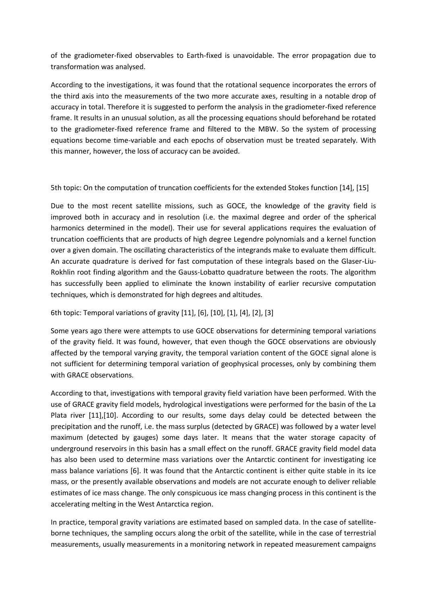of the gradiometer-fixed observables to Earth-fixed is unavoidable. The error propagation due to transformation was analysed.

According to the investigations, it was found that the rotational sequence incorporates the errors of the third axis into the measurements of the two more accurate axes, resulting in a notable drop of accuracy in total. Therefore it is suggested to perform the analysis in the gradiometer-fixed reference frame. It results in an unusual solution, as all the processing equations should beforehand be rotated to the gradiometer-fixed reference frame and filtered to the MBW. So the system of processing equations become time-variable and each epochs of observation must be treated separately. With this manner, however, the loss of accuracy can be avoided.

5th topic: On the computation of truncation coefficients for the extended Stokes function [14], [15]

Due to the most recent satellite missions, such as GOCE, the knowledge of the gravity field is improved both in accuracy and in resolution (i.e. the maximal degree and order of the spherical harmonics determined in the model). Their use for several applications requires the evaluation of truncation coefficients that are products of high degree Legendre polynomials and a kernel function over a given domain. The oscillating characteristics of the integrands make to evaluate them difficult. An accurate quadrature is derived for fast computation of these integrals based on the Glaser-Liu-Rokhlin root finding algorithm and the Gauss-Lobatto quadrature between the roots. The algorithm has successfully been applied to eliminate the known instability of earlier recursive computation techniques, which is demonstrated for high degrees and altitudes.

6th topic: Temporal variations of gravity [11], [6], [10], [1], [4], [2], [3]

Some years ago there were attempts to use GOCE observations for determining temporal variations of the gravity field. It was found, however, that even though the GOCE observations are obviously affected by the temporal varying gravity, the temporal variation content of the GOCE signal alone is not sufficient for determining temporal variation of geophysical processes, only by combining them with GRACE observations.

According to that, investigations with temporal gravity field variation have been performed. With the use of GRACE gravity field models, hydrological investigations were performed for the basin of the La Plata river [11],[10]. According to our results, some days delay could be detected between the precipitation and the runoff, i.e. the mass surplus (detected by GRACE) was followed by a water level maximum (detected by gauges) some days later. It means that the water storage capacity of underground reservoirs in this basin has a small effect on the runoff. GRACE gravity field model data has also been used to determine mass variations over the Antarctic continent for investigating ice mass balance variations [6]. It was found that the Antarctic continent is either quite stable in its ice mass, or the presently available observations and models are not accurate enough to deliver reliable estimates of ice mass change. The only conspicuous ice mass changing process in this continent is the accelerating melting in the West Antarctica region.

In practice, temporal gravity variations are estimated based on sampled data. In the case of satelliteborne techniques, the sampling occurs along the orbit of the satellite, while in the case of terrestrial measurements, usually measurements in a monitoring network in repeated measurement campaigns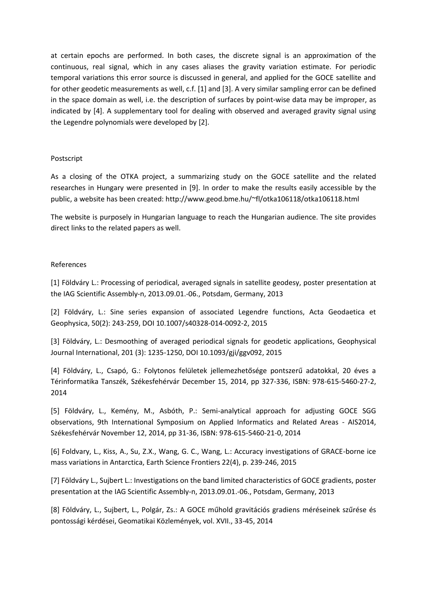at certain epochs are performed. In both cases, the discrete signal is an approximation of the continuous, real signal, which in any cases aliases the gravity variation estimate. For periodic temporal variations this error source is discussed in general, and applied for the GOCE satellite and for other geodetic measurements as well, c.f. [1] and [3]. A very similar sampling error can be defined in the space domain as well, i.e. the description of surfaces by point-wise data may be improper, as indicated by [4]. A supplementary tool for dealing with observed and averaged gravity signal using the Legendre polynomials were developed by [2].

## Postscript

As a closing of the OTKA project, a summarizing study on the GOCE satellite and the related researches in Hungary were presented in [9]. In order to make the results easily accessible by the public, a website has been created: http://www.geod.bme.hu/~fl/otka106118/otka106118.html

The website is purposely in Hungarian language to reach the Hungarian audience. The site provides direct links to the related papers as well.

### References

[1] Földváry L.: Processing of periodical, averaged signals in satellite geodesy, poster presentation at the IAG Scientific Assembly-n, 2013.09.01.-06., Potsdam, Germany, 2013

[2] Földváry, L.: Sine series expansion of associated Legendre functions, Acta Geodaetica et Geophysica, 50(2): 243-259, DOI 10.1007/s40328-014-0092-2, 2015

[3] Földváry, L.: Desmoothing of averaged periodical signals for geodetic applications, Geophysical Journal International, 201 (3): 1235-1250, DOI 10.1093/gji/ggv092, 2015

[4] Földváry, L., Csapó, G.: Folytonos felületek jellemezhetősége pontszerű adatokkal, 20 éves a Térinformatika Tanszék, Székesfehérvár December 15, 2014, pp 327-336, ISBN: 978-615-5460-27-2, 2014

[5] Földváry, L., Kemény, M., Asbóth, P.: Semi-analytical approach for adjusting GOCE SGG observations, 9th International Symposium on Applied Informatics and Related Areas - AIS2014, Székesfehérvár November 12, 2014, pp 31-36, ISBN: 978-615-5460-21-0, 2014

[6] Foldvary, L., Kiss, A., Su, Z.X., Wang, G. C., Wang, L.: Accuracy investigations of GRACE-borne ice mass variations in Antarctica, Earth Science Frontiers 22(4), p. 239-246, 2015

[7] Földváry L., Sujbert L.: Investigations on the band limited characteristics of GOCE gradients, poster presentation at the IAG Scientific Assembly-n, 2013.09.01.-06., Potsdam, Germany, 2013

[8] Földváry, L., Sujbert, L., Polgár, Zs.: A GOCE műhold gravitációs gradiens méréseinek szűrése és pontossági kérdései, Geomatikai Közlemények, vol. XVII., 33-45, 2014